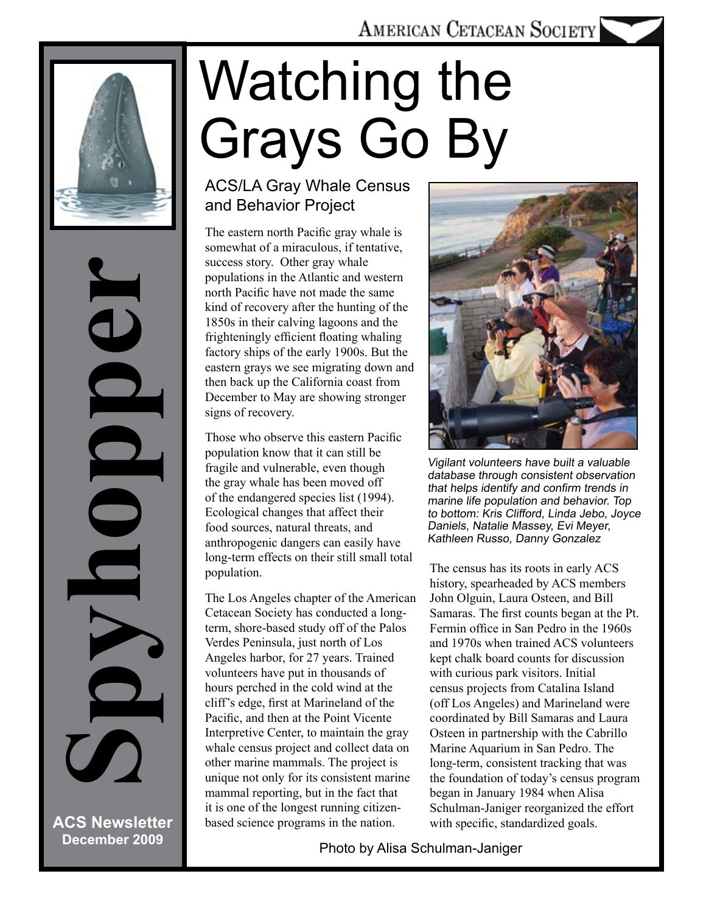**AMERICAN CETACEAN SOCIETY** 



Spyhopper  $\sum$ 

**ACS Newsletter December 2009**

# Watching the Grays Go By

### ACS/LA Gray Whale Census and Behavior Project

The eastern north Pacific gray whale is somewhat of a miraculous, if tentative, success story. Other gray whale populations in the Atlantic and western north Pacific have not made the same kind of recovery after the hunting of the 1850s in their calving lagoons and the frighteningly efficient floating whaling factory ships of the early 1900s. But the eastern grays we see migrating down and then back up the California coast from December to May are showing stronger signs of recovery.

Those who observe this eastern Pacific population know that it can still be fragile and vulnerable, even though the gray whale has been moved off of the endangered species list (1994). Ecological changes that affect their food sources, natural threats, and anthropogenic dangers can easily have long-term effects on their still small total population.

The Los Angeles chapter of the American Cetacean Society has conducted a longterm, shore-based study off of the Palos Verdes Peninsula, just north of Los Angeles harbor, for 27 years. Trained volunteers have put in thousands of hours perched in the cold wind at the cliff's edge, first at Marineland of the Pacific, and then at the Point Vicente Interpretive Center, to maintain the gray whale census project and collect data on other marine mammals. The project is unique not only for its consistent marine mammal reporting, but in the fact that it is one of the longest running citizenbased science programs in the nation.



Vigilant volunteers have built a valuable database through consistent observation that helps identify and confirm trends in marine life population and behavior. Top to bottom: Kris Clifford, Linda Jebo, Joyce Daniels, Natalie Massey, Evi Meyer, Kathleen Russo, Danny Gonzalez

The census has its roots in early ACS history, spearheaded by ACS members John Olguin, Laura Osteen, and Bill Samaras. The first counts began at the Pt. Fermin office in San Pedro in the 1960s and 1970s when trained ACS volunteers kept chalk board counts for discussion with curious park visitors. Initial census projects from Catalina Island (off Los Angeles) and Marineland were coordinated by Bill Samaras and Laura Osteen in partnership with the Cabrillo Marine Aquarium in San Pedro. The long-term, consistent tracking that was the foundation of today's census program began in January 1984 when Alisa Schulman-Janiger reorganized the effort with specific, standardized goals.

Photo by Alisa Schulman-Janiger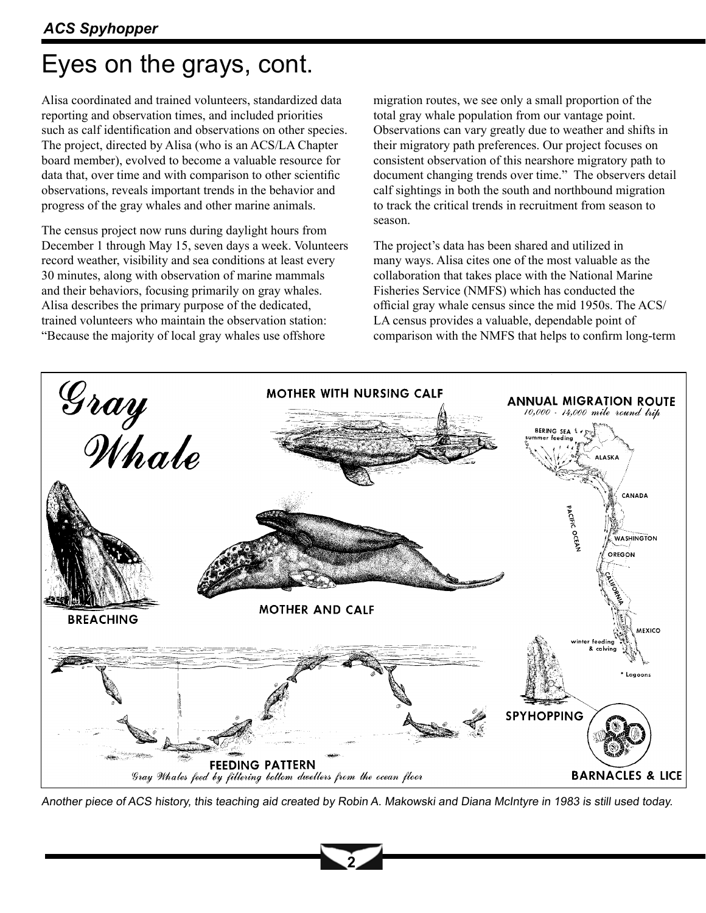## Eyes on the grays, cont.

Alisa coordinated and trained volunteers, standardized data reporting and observation times, and included priorities such as calf identification and observations on other species. The project, directed by Alisa (who is an ACS/LA Chapter board member), evolved to become a valuable resource for data that, over time and with comparison to other scientific observations, reveals important trends in the behavior and progress of the gray whales and other marine animals.

The census project now runs during daylight hours from December 1 through May 15, seven days a week. Volunteers record weather, visibility and sea conditions at least every 30 minutes, along with observation of marine mammals and their behaviors, focusing primarily on gray whales. Alisa describes the primary purpose of the dedicated, trained volunteers who maintain the observation station: "Because the majority of local gray whales use offshore

migration routes, we see only a small proportion of the total gray whale population from our vantage point. Observations can vary greatly due to weather and shifts in their migratory path preferences. Our project focuses on consistent observation of this nearshore migratory path to document changing trends over time." The observers detail calf sightings in both the south and northbound migration to track the critical trends in recruitment from season to season.

The project's data has been shared and utilized in many ways. Alisa cites one of the most valuable as the collaboration that takes place with the National Marine Fisheries Service (NMFS) which has conducted the official gray whale census since the mid 1950s. The ACS/ LA census provides a valuable, dependable point of comparison with the NMFS that helps to confirm long-term



Another piece of ACS history, this teaching aid created by Robin A. Makowski and Diana McIntyre in 1983 is still used today.

**2**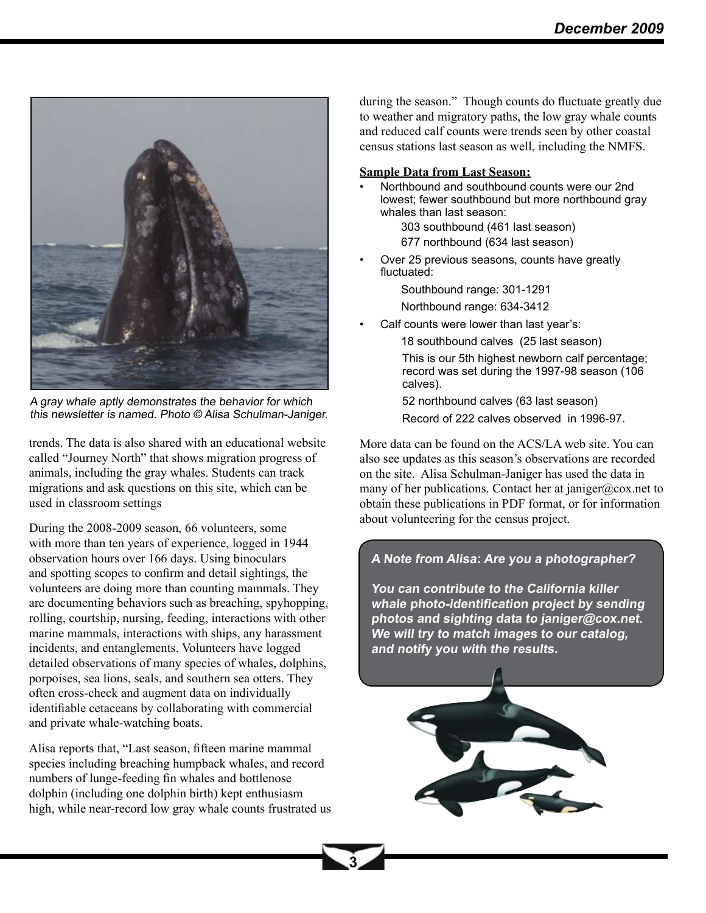

A gray whale aptly demonstrates the behavior for which this newsletter is named. Photo © Alisa Schulman-Janiger.

trends. The data is also shared with an educational website called "Journey North" that shows migration progress of animals, including the gray whales. Students can track migrations and ask questions on this site, which can be used in classroom settings

During the 2008-2009 season, 66 volunteers, some with more than ten years of experience, logged in 1944 observation hours over 166 days. Using binoculars and spotting scopes to confirm and detail sightings, the volunteers are doing more than counting mammals. They are documenting behaviors such as breaching, spyhopping, rolling, courtship, nursing, feeding, interactions with other marine mammals, interactions with ships, any harassment incidents, and entanglements. Volunteers have logged detailed observations of many species of whales, dolphins, porpoises, sea lions, seals, and southern sea otters. They often cross-check and augment data on individually identifiable cetaceans by collaborating with commercial and private whale-watching boats.

Alisa reports that, "Last season, fifteen marine mammal species including breaching humpback whales, and record numbers of lunge-feeding fin whales and bottlenose dolphin (including one dolphin birth) kept enthusiasm high, while near-record low gray whale counts frustrated us during the season." Though counts do fluctuate greatly due to weather and migratory paths, the low gray whale counts and reduced calf counts were trends seen by other coastal census stations last season as well, including the NMFS.

### **Sample Data from Last Season:**

• Northbound and southbound counts were our 2nd lowest; fewer southbound but more northbound gray whales than last season:

> 303 southbound (461 last season) 677 northbound (634 last season)

• Over 25 previous seasons, counts have greatly fluctuated:

> Southbound range: 301-1291 Northbound range: 634-3412

Calf counts were lower than last year's:

18 southbound calves (25 last season)

This is our 5th highest newborn calf percentage; record was set during the 1997-98 season (106 calves).

52 northbound calves (63 last season) Record of 222 calves observed in 1996-97.

More data can be found on the ACS/LA web site. You can also see updates as this season's observations are recorded on the site. Alisa Schulman-Janiger has used the data in many of her publications. Contact her at janiger@cox.net to obtain these publications in PDF format, or for information about volunteering for the census project.

### **A Note from Alisa: Are you a photographer?**

**You can contribute to the California killer whale photo-identification project by sending photos and sighting data to janiger@cox.net. We will try to match images to our catalog, and notify you with the results.**

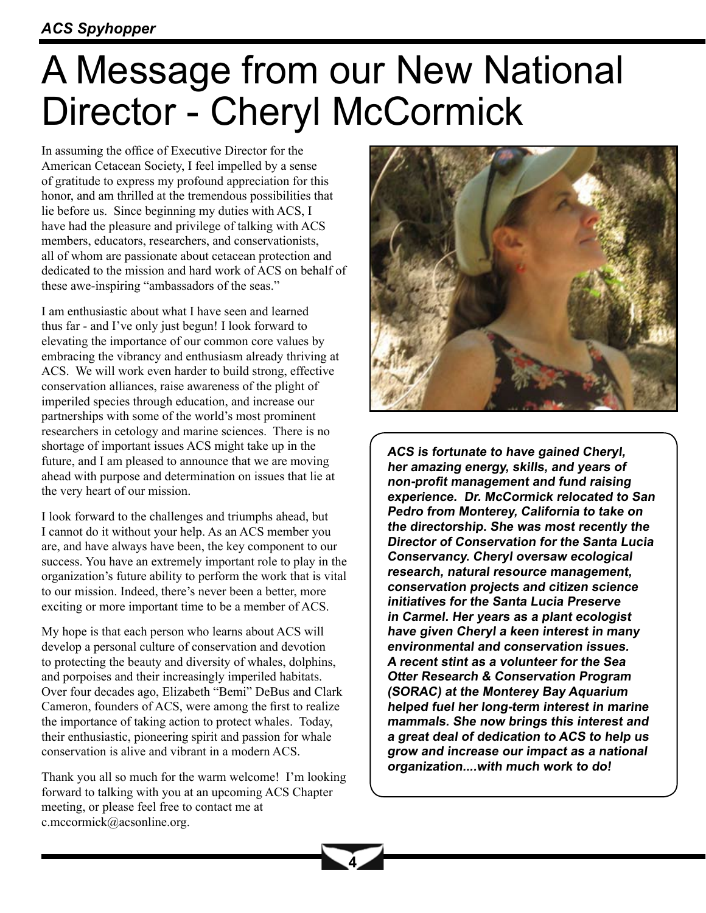## A Message from our New National Director - Cheryl McCormick

In assuming the office of Executive Director for the American Cetacean Society, I feel impelled by a sense of gratitude to express my profound appreciation for this honor, and am thrilled at the tremendous possibilities that lie before us. Since beginning my duties with ACS, I have had the pleasure and privilege of talking with ACS members, educators, researchers, and conservationists, all of whom are passionate about cetacean protection and dedicated to the mission and hard work of ACS on behalf of these awe-inspiring "ambassadors of the seas."

I am enthusiastic about what I have seen and learned thus far - and I've only just begun! I look forward to elevating the importance of our common core values by embracing the vibrancy and enthusiasm already thriving at ACS. We will work even harder to build strong, effective conservation alliances, raise awareness of the plight of imperiled species through education, and increase our partnerships with some of the world's most prominent researchers in cetology and marine sciences. There is no shortage of important issues ACS might take up in the future, and I am pleased to announce that we are moving ahead with purpose and determination on issues that lie at the very heart of our mission.

I look forward to the challenges and triumphs ahead, but I cannot do it without your help. As an ACS member you are, and have always have been, the key component to our success. You have an extremely important role to play in the organization's future ability to perform the work that is vital to our mission. Indeed, there's never been a better, more exciting or more important time to be a member of ACS.

My hope is that each person who learns about ACS will develop a personal culture of conservation and devotion to protecting the beauty and diversity of whales, dolphins, and porpoises and their increasingly imperiled habitats. Over four decades ago, Elizabeth "Bemi" DeBus and Clark Cameron, founders of ACS, were among the first to realize the importance of taking action to protect whales. Today, their enthusiastic, pioneering spirit and passion for whale conservation is alive and vibrant in a modern ACS.

Thank you all so much for the warm welcome! I'm looking forward to talking with you at an upcoming ACS Chapter meeting, or please feel free to contact me at c.mccormick@acsonline.org.



**ACS is fortunate to have gained Cheryl, her amazing energy, skills, and years of non-profit management and fund raising experience. Dr. McCormick relocated to San Pedro from Monterey, California to take on the directorship. She was most recently the Director of Conservation for the Santa Lucia Conservancy. Cheryl oversaw ecological research, natural resource management, conservation projects and citizen science initiatives for the Santa Lucia Preserve in Carmel. Her years as a plant ecologist have given Cheryl a keen interest in many environmental and conservation issues. A recent stint as a volunteer for the Sea Otter Research & Conservation Program (SORAC) at the Monterey Bay Aquarium helped fuel her long-term interest in marine mammals. She now brings this interest and a great deal of dedication to ACS to help us grow and increase our impact as a national organization....with much work to do!**

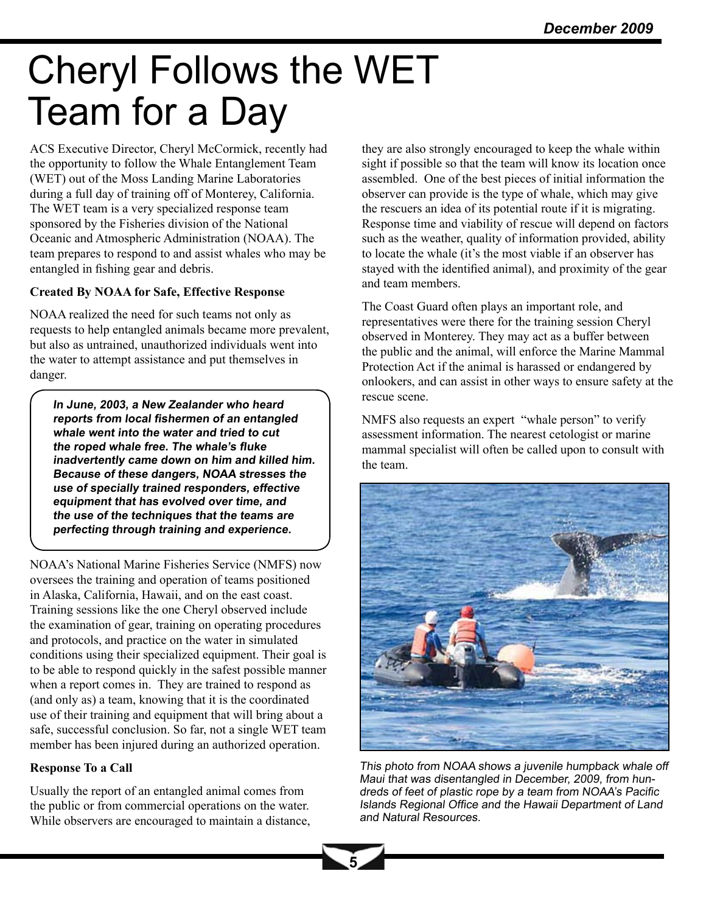## Cheryl Follows the WET Team for a Day

ACS Executive Director, Cheryl McCormick, recently had the opportunity to follow the Whale Entanglement Team (WET) out of the Moss Landing Marine Laboratories during a full day of training off of Monterey, California. The WET team is a very specialized response team sponsored by the Fisheries division of the National Oceanic and Atmospheric Administration (NOAA). The team prepares to respond to and assist whales who may be entangled in fishing gear and debris.

### **Created By NOAA for Safe, Effective Response**

NOAA realized the need for such teams not only as requests to help entangled animals became more prevalent, but also as untrained, unauthorized individuals went into the water to attempt assistance and put themselves in danger.

**In June, 2003, a New Zealander who heard reports from local fishermen of an entangled whale went into the water and tried to cut the roped whale free. The whale's fluke inadvertently came down on him and killed him. Because of these dangers, NOAA stresses the use of specially trained responders, effective equipment that has evolved over time, and the use of the techniques that the teams are perfecting through training and experience.**

NOAA's National Marine Fisheries Service (NMFS) now oversees the training and operation of teams positioned in Alaska, California, Hawaii, and on the east coast. Training sessions like the one Cheryl observed include the examination of gear, training on operating procedures and protocols, and practice on the water in simulated conditions using their specialized equipment. Their goal is to be able to respond quickly in the safest possible manner when a report comes in. They are trained to respond as (and only as) a team, knowing that it is the coordinated use of their training and equipment that will bring about a safe, successful conclusion. So far, not a single WET team member has been injured during an authorized operation.

### **Response To a Call**

Usually the report of an entangled animal comes from the public or from commercial operations on the water. While observers are encouraged to maintain a distance,

they are also strongly encouraged to keep the whale within sight if possible so that the team will know its location once assembled. One of the best pieces of initial information the observer can provide is the type of whale, which may give the rescuers an idea of its potential route if it is migrating. Response time and viability of rescue will depend on factors such as the weather, quality of information provided, ability to locate the whale (it's the most viable if an observer has stayed with the identified animal), and proximity of the gear and team members.

The Coast Guard often plays an important role, and representatives were there for the training session Cheryl observed in Monterey. They may act as a buffer between the public and the animal, will enforce the Marine Mammal Protection Act if the animal is harassed or endangered by onlookers, and can assist in other ways to ensure safety at the rescue scene.

NMFS also requests an expert "whale person" to verify assessment information. The nearest cetologist or marine mammal specialist will often be called upon to consult with the team.



This photo from NOAA shows a juvenile humpback whale off Maui that was disentangled in December, 2009, from hundreds of feet of plastic rope by a team from NOAA's Pacific Islands Regional Office and the Hawaii Department of Land and Natural Resources.

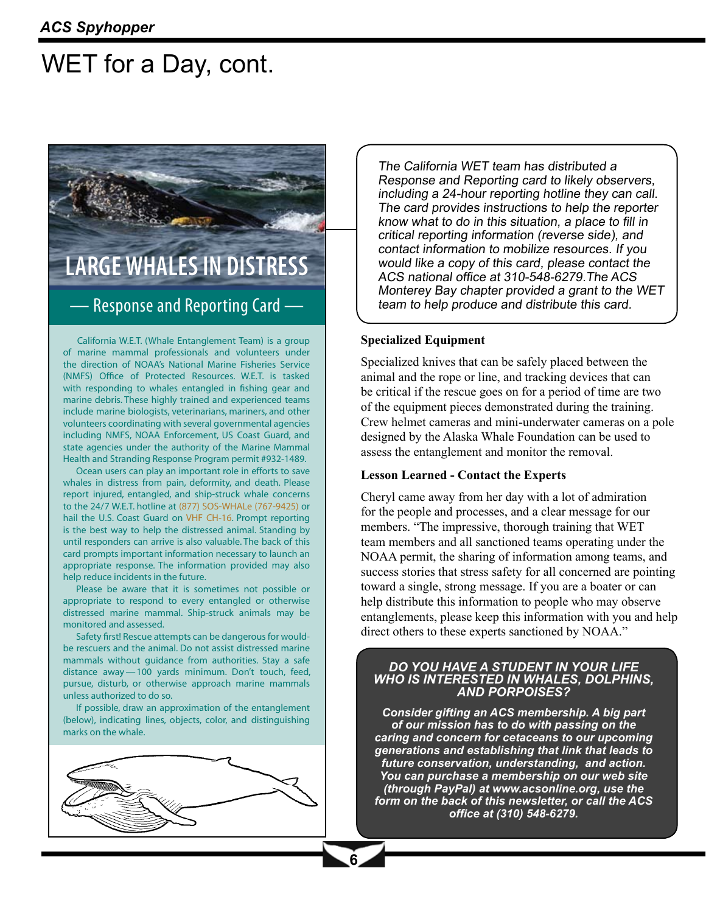## WET for a Day, cont.



California W.E.T. (Whale Entanglement Team) is a group of marine mammal professionals and volunteers under the direction of NOAA's National Marine Fisheries Service (NMFS) Office of Protected Resources. W.E.T. is tasked with responding to whales entangled in fishing gear and marine debris. These highly trained and experienced teams include marine biologists, veterinarians, mariners, and other volunteers coordinating with several governmental agencies including NMFS, NOAA Enforcement, US Coast Guard, and state agencies under the authority of the Marine Mammal Health and Stranding Response Program permit #932-1489.

Ocean users can play an important role in efforts to save whales in distress from pain, deformity, and death. Please report injured, entangled, and ship-struck whale concerns to the 24/7 W.E.T. hotline at (877) SOS-WHALe (767-9425) or hail the U.S. Coast Guard on VHF CH-16. Prompt reporting is the best way to help the distressed animal. Standing by until responders can arrive is also valuable. The back of this card prompts important information necessary to launch an appropriate response. The information provided may also help reduce incidents in the future.

Please be aware that it is sometimes not possible or appropriate to respond to every entangled or otherwise distressed marine mammal. Ship-struck animals may be monitored and assessed.

Safety first! Rescue attempts can be dangerous for wouldbe rescuers and the animal. Do not assist distressed marine mammals without guidance from authorities. Stay a safe distance away —100 yards minimum. Don't touch, feed, pursue, disturb, or otherwise approach marine mammals unless authorized to do so.

If possible, draw an approximation of the entanglement (below), indicating lines, objects, color, and distinguishing marks on the whale.



The California WET team has distributed a Response and Reporting card to likely observers, including a 24-hour reporting hotline they can call. The card provides instructions to help the reporter know what to do in this situation, a place to fill in critical reporting information (reverse side), and contact information to mobilize resources. If you would like a copy of this card, please contact the ACS national office at 310-548-6279.The ACS Monterey Bay chapter provided a grant to the WET team to help produce and distribute this card.

### **Specialized Equipment**

Specialized knives that can be safely placed between the animal and the rope or line, and tracking devices that can be critical if the rescue goes on for a period of time are two of the equipment pieces demonstrated during the training. Crew helmet cameras and mini-underwater cameras on a pole designed by the Alaska Whale Foundation can be used to assess the entanglement and monitor the removal.

### **Lesson Learned - Contact the Experts**

Cheryl came away from her day with a lot of admiration for the people and processes, and a clear message for our members. "The impressive, thorough training that WET team members and all sanctioned teams operating under the NOAA permit, the sharing of information among teams, and success stories that stress safety for all concerned are pointing toward a single, strong message. If you are a boater or can help distribute this information to people who may observe entanglements, please keep this information with you and help direct others to these experts sanctioned by NOAA."

## *Do you have a student in your life who Is Interested in whales, dolphins, and porpoises?*

*Consider gifting an ACS membership. A big part of our mission has to do with passing on the caring and concern for cetaceans to our upcoming generations and establishing that link that leads to future conservation, understanding, and action. You can purchase a membership on our web site (through PayPal) at www.acsonline.org, use the form on the back of this newsletter, or call the ACS office at (310) 548-6279.*

**6 7**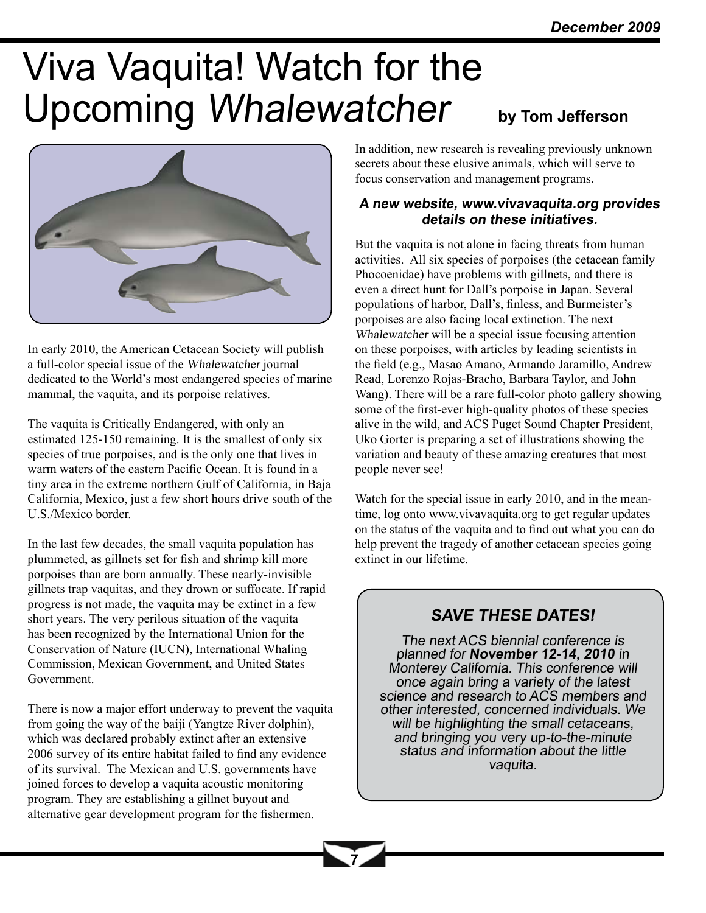## Viva Vaquita! Watch for the Upcoming Whalewatcher by Tom Jefferson



In early 2010, the American Cetacean Society will publish a full-color special issue of the Whalewatcher journal dedicated to the World's most endangered species of marine mammal, the vaquita, and its porpoise relatives.

The vaquita is Critically Endangered, with only an estimated 125-150 remaining. It is the smallest of only six species of true porpoises, and is the only one that lives in warm waters of the eastern Pacific Ocean. It is found in a tiny area in the extreme northern Gulf of California, in Baja California, Mexico, just a few short hours drive south of the U.S./Mexico border.

In the last few decades, the small vaquita population has plummeted, as gillnets set for fish and shrimp kill more porpoises than are born annually. These nearly-invisible gillnets trap vaquitas, and they drown or suffocate. If rapid progress is not made, the vaquita may be extinct in a few short years. The very perilous situation of the vaquita has been recognized by the International Union for the Conservation of Nature (IUCN), International Whaling Commission, Mexican Government, and United States Government.

There is now a major effort underway to prevent the vaquita from going the way of the baiji (Yangtze River dolphin), which was declared probably extinct after an extensive 2006 survey of its entire habitat failed to find any evidence of its survival. The Mexican and U.S. governments have joined forces to develop a vaquita acoustic monitoring program. They are establishing a gillnet buyout and alternative gear development program for the fishermen.

In addition, new research is revealing previously unknown secrets about these elusive animals, which will serve to focus conservation and management programs.

### **A new website, www.vivavaquita.org provides details on these initiatives.**

But the vaquita is not alone in facing threats from human activities. All six species of porpoises (the cetacean family Phocoenidae) have problems with gillnets, and there is even a direct hunt for Dall's porpoise in Japan. Several populations of harbor, Dall's, finless, and Burmeister's porpoises are also facing local extinction. The next Whalewatcher will be a special issue focusing attention on these porpoises, with articles by leading scientists in the field (e.g., Masao Amano, Armando Jaramillo, Andrew Read, Lorenzo Rojas-Bracho, Barbara Taylor, and John Wang). There will be a rare full-color photo gallery showing some of the first-ever high-quality photos of these species alive in the wild, and ACS Puget Sound Chapter President, Uko Gorter is preparing a set of illustrations showing the variation and beauty of these amazing creatures that most people never see!

Watch for the special issue in early 2010, and in the meantime, log onto www.vivavaquita.org to get regular updates on the status of the vaquita and to find out what you can do help prevent the tragedy of another cetacean species going extinct in our lifetime.

## **SAVE THESE DATES!**

The next ACS biennial conference is planned for **November 12-14, 2010** in Monterey California. This conference will once again bring a variety of the latest science and research to ACS members and other interested, concerned individuals. We will be highlighting the small cetaceans, and bringing you very up-to-the-minute status and information about the little vaquita.

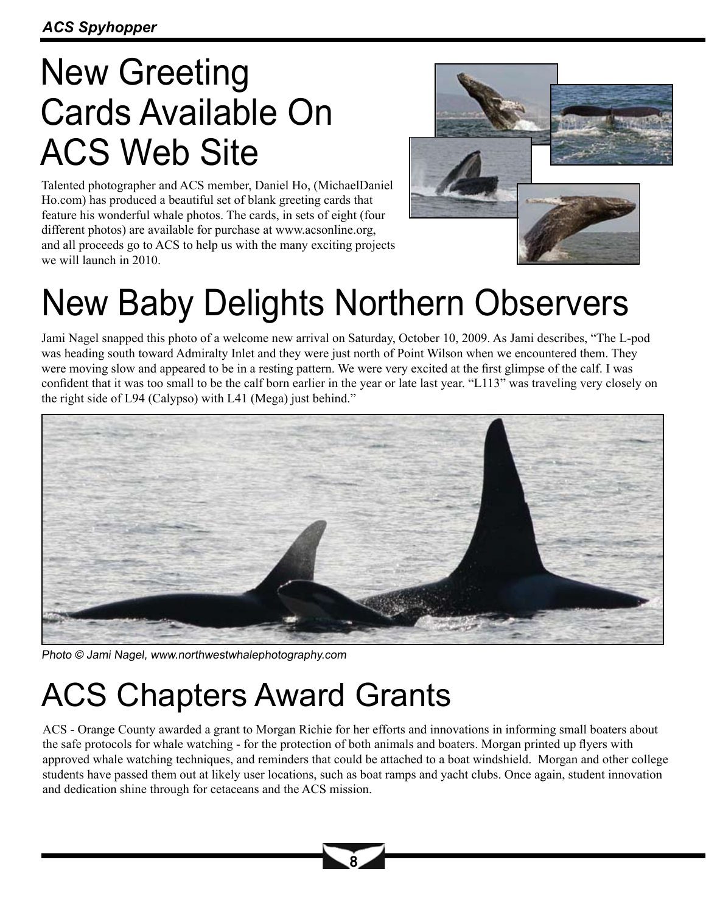## New Greeting Cards Available On ACS Web Site

Talented photographer and ACS member, Daniel Ho, (MichaelDaniel Ho.com) has produced a beautiful set of blank greeting cards that feature his wonderful whale photos. The cards, in sets of eight (four different photos) are available for purchase at www.acsonline.org, and all proceeds go to ACS to help us with the many exciting projects we will launch in 2010.



## New Baby Delights Northern Observers

Jami Nagel snapped this photo of a welcome new arrival on Saturday, October 10, 2009. As Jami describes, "The L-pod was heading south toward Admiralty Inlet and they were just north of Point Wilson when we encountered them. They were moving slow and appeared to be in a resting pattern. We were very excited at the first glimpse of the calf. I was confident that it was too small to be the calf born earlier in the year or late last year. "L113" was traveling very closely on the right side of L94 (Calypso) with L41 (Mega) just behind."



Photo © Jami Nagel, www.northwestwhalephotography.com

## ACS Chapters Award Grants

ACS - Orange County awarded a grant to Morgan Richie for her efforts and innovations in informing small boaters about the safe protocols for whale watching - for the protection of both animals and boaters. Morgan printed up flyers with approved whale watching techniques, and reminders that could be attached to a boat windshield. Morgan and other college students have passed them out at likely user locations, such as boat ramps and yacht clubs. Once again, student innovation and dedication shine through for cetaceans and the ACS mission.

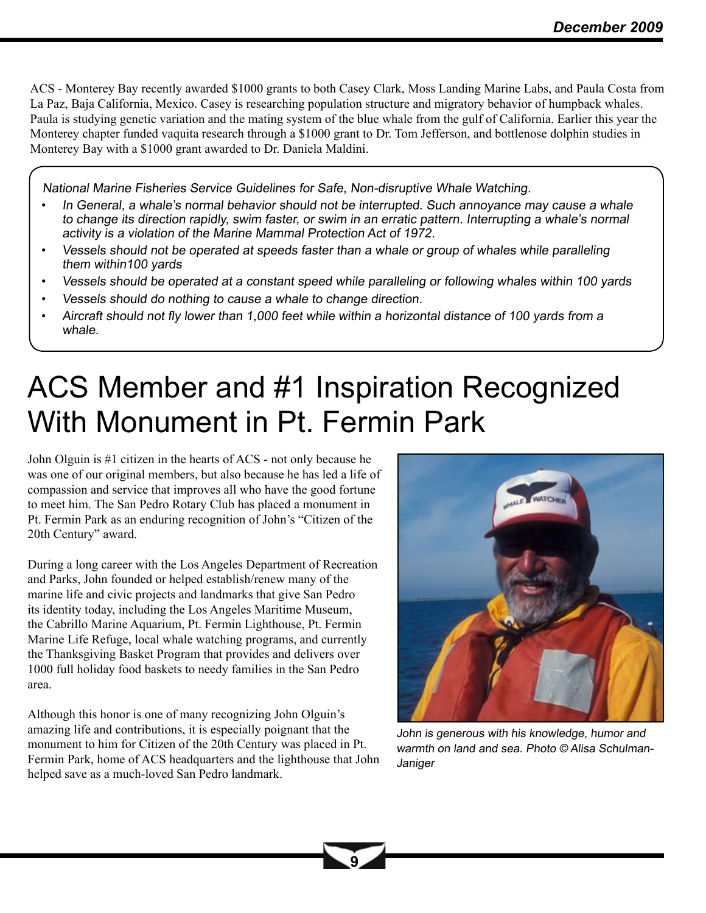ACS - Monterey Bay recently awarded \$1000 grants to both Casey Clark, Moss Landing Marine Labs, and Paula Costa from La Paz, Baja California, Mexico. Casey is researching population structure and migratory behavior of humpback whales. Paula is studying genetic variation and the mating system of the blue whale from the gulf of California. Earlier this year the Monterey chapter funded vaquita research through a \$1000 grant to Dr. Tom Jefferson, and bottlenose dolphin studies in Monterey Bay with a \$1000 grant awarded to Dr. Daniela Maldini.

National Marine Fisheries Service Guidelines for Safe, Non-disruptive Whale Watching.

- In General, a whale's normal behavior should not be interrupted. Such annoyance may cause a whale to change its direction rapidly, swim faster, or swim in an erratic pattern. Interrupting a whale's normal activity is a violation of the Marine Mammal Protection Act of 1972.
- Vessels should not be operated at speeds faster than a whale or group of whales while paralleling them within100 yards
- Vessels should be operated at a constant speed while paralleling or following whales within 100 yards
- Vessels should do nothing to cause a whale to change direction.

٦

• Aircraft should not fly lower than 1,000 feet while within a horizontal distance of 100 yards from a whale.

## ACS Member and #1 Inspiration Recognized With Monument in Pt. Fermin Park

John Olguin is #1 citizen in the hearts of ACS - not only because he was one of our original members, but also because he has led a life of compassion and service that improves all who have the good fortune to meet him. The San Pedro Rotary Club has placed a monument in Pt. Fermin Park as an enduring recognition of John's "Citizen of the 20th Century" award.

During a long career with the Los Angeles Department of Recreation and Parks, John founded or helped establish/renew many of the marine life and civic projects and landmarks that give San Pedro its identity today, including the Los Angeles Maritime Museum, the Cabrillo Marine Aquarium, Pt. Fermin Lighthouse, Pt. Fermin Marine Life Refuge, local whale watching programs, and currently the Thanksgiving Basket Program that provides and delivers over 1000 full holiday food baskets to needy families in the San Pedro area.

Although this honor is one of many recognizing John Olguin's amazing life and contributions, it is especially poignant that the monument to him for Citizen of the 20th Century was placed in Pt. Fermin Park, home of ACS headquarters and the lighthouse that John helped save as a much-loved San Pedro landmark.



John is generous with his knowledge, humor and warmth on land and sea. Photo © Alisa Schulman-Janiger

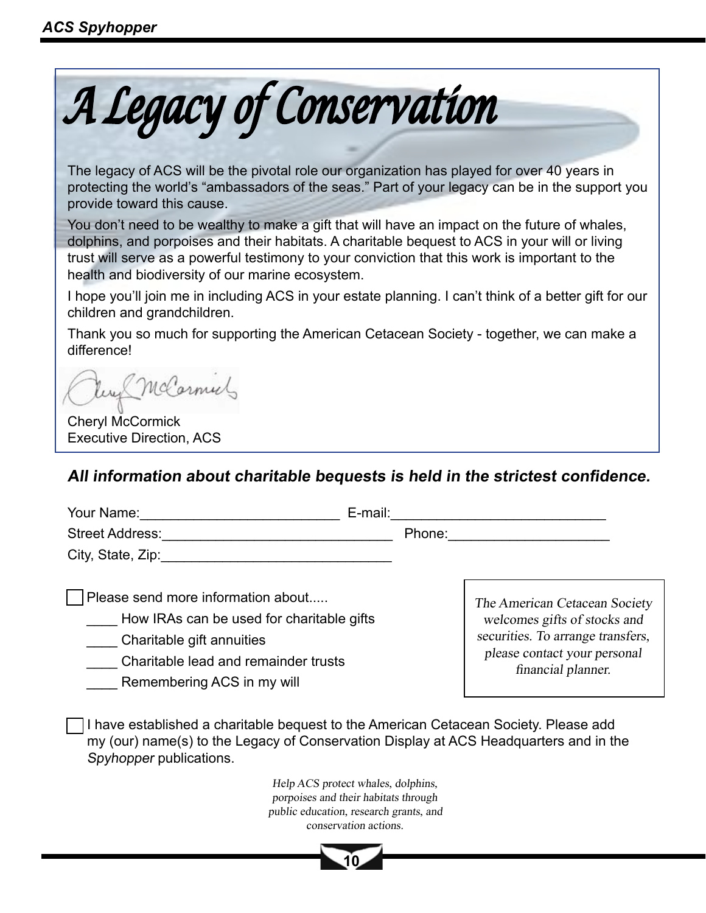*A Legacy of Conservation*

The legacy of ACS will be the pivotal role our organization has played for over 40 years in protecting the world's "ambassadors of the seas." Part of your legacy can be in the support you provide toward this cause.

You don't need to be wealthy to make a gift that will have an impact on the future of whales, dolphins, and porpoises and their habitats. A charitable bequest to ACS in your will or living trust will serve as a powerful testimony to your conviction that this work is important to the health and biodiversity of our marine ecosystem.

I hope you'll join me in including ACS in your estate planning. I can't think of a better gift for our children and grandchildren.

Thank you so much for supporting the American Cetacean Society - together, we can make a difference!

McCarnul

Cheryl McCormick Executive Direction, ACS

### **All information about charitable bequests is held in the strictest confidence.**

| Your Name:             | E-mail: |  |
|------------------------|---------|--|
| <b>Street Address:</b> | Phone:  |  |
| City, State, Zip:      |         |  |
|                        |         |  |

Please send more information about.....

How IRAs can be used for charitable gifts

\_\_\_\_ Charitable gift annuities

\_\_\_\_ Charitable lead and remainder trusts

Remembering ACS in my will

The American Cetacean Society welcomes gifts of stocks and securities. To arrange transfers, please contact your personal financial planner.

I have established a charitable bequest to the American Cetacean Society. Please add my (our) name(s) to the Legacy of Conservation Display at ACS Headquarters and in the Spyhopper publications.

> Help ACS protect whales, dolphins, porpoises and their habitats through public education, research grants, and conservation actions.

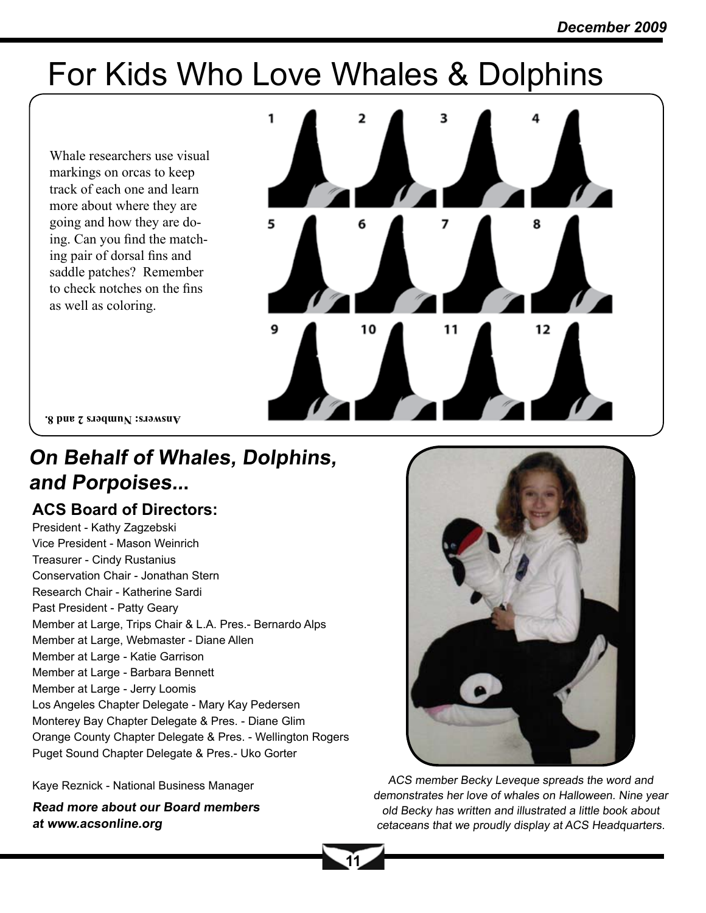## For Kids Who Love Whales & Dolphins

Whale researchers use visual markings on orcas to keep track of each one and learn more about where they are going and how they are doing. Can you find the matching pair of dorsal fins and saddle patches? Remember to check notches on the fins as well as coloring.



**Answers: Numbers 2 and 8.**

## **On Behalf of Whales, Dolphins, and Porpoises...**

## **ACS Board of Directors:**

President - Kathy Zagzebski Vice President - Mason Weinrich Treasurer - Cindy Rustanius Conservation Chair - Jonathan Stern Research Chair - Katherine Sardi Past President - Patty Geary Member at Large, Trips Chair & L.A. Pres.- Bernardo Alps Member at Large, Webmaster - Diane Allen Member at Large - Katie Garrison Member at Large - Barbara Bennett Member at Large - Jerry Loomis Los Angeles Chapter Delegate - Mary Kay Pedersen Monterey Bay Chapter Delegate & Pres. - Diane Glim Orange County Chapter Delegate & Pres. - Wellington Rogers Puget Sound Chapter Delegate & Pres.- Uko Gorter

Kaye Reznick - National Business Manager

**Read more about our Board members at www.acsonline.org**



ACS member Becky Leveque spreads the word and demonstrates her love of whales on Halloween. Nine year old Becky has written and illustrated a little book about cetaceans that we proudly display at ACS Headquarters.

**11**